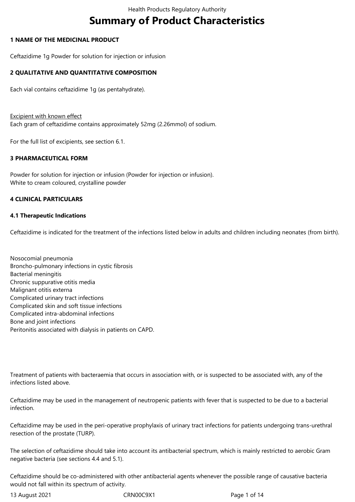# **Summary of Product Characteristics**

#### **1 NAME OF THE MEDICINAL PRODUCT**

Ceftazidime 1g Powder for solution for injection or infusion

# **2 QUALITATIVE AND QUANTITATIVE COMPOSITION**

Each vial contains ceftazidime 1g (as pentahydrate).

Excipient with known effect Each gram of ceftazidime contains approximately 52mg (2.26mmol) of sodium.

For the full list of excipients, see section 6.1.

# **3 PHARMACEUTICAL FORM**

Powder for solution for injection or infusion (Powder for injection or infusion). White to cream coloured, crystalline powder

## **4 CLINICAL PARTICULARS**

#### **4.1 Therapeutic Indications**

Ceftazidime is indicated for the treatment of the infections listed below in adults and children including neonates (from birth).

Nosocomial pneumonia Broncho-pulmonary infections in cystic fibrosis Bacterial meningitis Chronic suppurative otitis media Malignant otitis externa Complicated urinary tract infections Complicated skin and soft tissue infections Complicated intra-abdominal infections Bone and joint infections Peritonitis associated with dialysis in patients on CAPD.

Treatment of patients with bacteraemia that occurs in association with, or is suspected to be associated with, any of the infections listed above.

Ceftazidime may be used in the management of neutropenic patients with fever that is suspected to be due to a bacterial infection.

Ceftazidime may be used in the peri-operative prophylaxis of urinary tract infections for patients undergoing trans-urethral resection of the prostate (TURP).

The selection of ceftazidime should take into account its antibacterial spectrum, which is mainly restricted to aerobic Gram negative bacteria (see sections 4.4 and 5.1).

Ceftazidime should be co-administered with other antibacterial agents whenever the possible range of causative bacteria would not fall within its spectrum of activity.

13 August 2021 CRN00C9X1 Page 1 of 14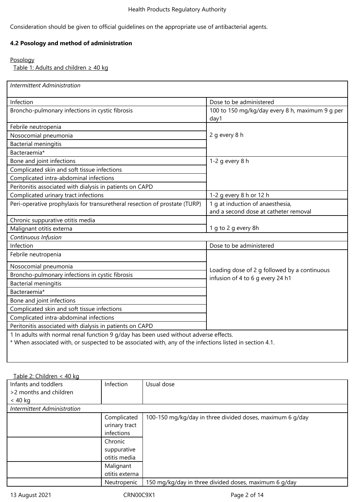Consideration should be given to official guidelines on the appropriate use of antibacterial agents.

# **4.2 Posology and method of administration**

# Posology

Table 1: Adults and children  $\geq 40$  kg

| <b>Intermittent Administration</b>                                                                       |                                                         |
|----------------------------------------------------------------------------------------------------------|---------------------------------------------------------|
| Infection                                                                                                | Dose to be administered                                 |
| Broncho-pulmonary infections in cystic fibrosis                                                          | 100 to 150 mg/kg/day every 8 h, maximum 9 g per<br>day1 |
| Febrile neutropenia                                                                                      |                                                         |
| Nosocomial pneumonia                                                                                     | 2 g every 8 h                                           |
| <b>Bacterial meningitis</b>                                                                              |                                                         |
| Bacteraemia*                                                                                             |                                                         |
| Bone and joint infections                                                                                | 1-2 $q$ every 8 h                                       |
| Complicated skin and soft tissue infections                                                              |                                                         |
| Complicated intra-abdominal infections                                                                   |                                                         |
| Peritonitis associated with dialysis in patients on CAPD                                                 |                                                         |
| Complicated urinary tract infections                                                                     | 1-2 g every 8 h or 12 h                                 |
| Peri-operative prophylaxis for transuretheral resection of prostate (TURP)                               | 1 g at induction of anaesthesia,                        |
|                                                                                                          | and a second dose at catheter removal                   |
| Chronic suppurative otitis media                                                                         |                                                         |
| Malignant otitis externa                                                                                 | 1 g to 2 g every 8h                                     |
| Continuous Infusion                                                                                      |                                                         |
| Infection                                                                                                | Dose to be administered                                 |
| Febrile neutropenia                                                                                      |                                                         |
| Nosocomial pneumonia                                                                                     | Loading dose of 2 g followed by a continuous            |
| Broncho-pulmonary infections in cystic fibrosis                                                          | infusion of 4 to 6 g every 24 h1                        |
| <b>Bacterial meningitis</b>                                                                              |                                                         |
| Bacteraemia*                                                                                             |                                                         |
| Bone and joint infections                                                                                |                                                         |
| Complicated skin and soft tissue infections                                                              |                                                         |
| Complicated intra-abdominal infections                                                                   |                                                         |
| Peritonitis associated with dialysis in patients on CAPD                                                 |                                                         |
| 1 In adults with normal renal function 9 g/day has been used without adverse effects.                    |                                                         |
| * When associated with, or suspected to be associated with, any of the infections listed in section 4.1. |                                                         |

| Table 2: Children < 40 kg   |                |                                                           |
|-----------------------------|----------------|-----------------------------------------------------------|
| Infants and toddlers        | Infection      | Usual dose                                                |
| >2 months and children      |                |                                                           |
| $<$ 40 kg                   |                |                                                           |
| Intermittent Administration |                |                                                           |
|                             | Complicated    | 100-150 mg/kg/day in three divided doses, maximum 6 g/day |
|                             | urinary tract  |                                                           |
|                             | infections     |                                                           |
|                             | Chronic        |                                                           |
|                             | suppurative    |                                                           |
|                             | otitis media   |                                                           |
|                             | Malignant      |                                                           |
|                             | otitis externa |                                                           |
|                             | Neutropenic    | 150 mg/kg/day in three divided doses, maximum 6 g/day     |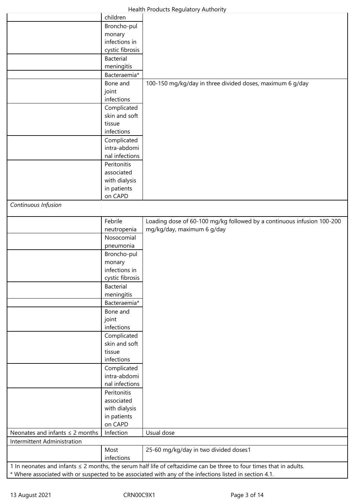|                                      | children         |                                                                                                                                                                                                                                     |
|--------------------------------------|------------------|-------------------------------------------------------------------------------------------------------------------------------------------------------------------------------------------------------------------------------------|
|                                      | Broncho-pul      |                                                                                                                                                                                                                                     |
|                                      | monary           |                                                                                                                                                                                                                                     |
|                                      | infections in    |                                                                                                                                                                                                                                     |
|                                      | cystic fibrosis  |                                                                                                                                                                                                                                     |
|                                      | <b>Bacterial</b> |                                                                                                                                                                                                                                     |
|                                      | meningitis       |                                                                                                                                                                                                                                     |
|                                      |                  |                                                                                                                                                                                                                                     |
|                                      | Bacteraemia*     |                                                                                                                                                                                                                                     |
|                                      | Bone and         | 100-150 mg/kg/day in three divided doses, maximum 6 g/day                                                                                                                                                                           |
|                                      | joint            |                                                                                                                                                                                                                                     |
|                                      | infections       |                                                                                                                                                                                                                                     |
|                                      | Complicated      |                                                                                                                                                                                                                                     |
|                                      | skin and soft    |                                                                                                                                                                                                                                     |
|                                      | tissue           |                                                                                                                                                                                                                                     |
|                                      | infections       |                                                                                                                                                                                                                                     |
|                                      | Complicated      |                                                                                                                                                                                                                                     |
|                                      | intra-abdomi     |                                                                                                                                                                                                                                     |
|                                      | nal infections   |                                                                                                                                                                                                                                     |
|                                      | Peritonitis      |                                                                                                                                                                                                                                     |
|                                      | associated       |                                                                                                                                                                                                                                     |
|                                      | with dialysis    |                                                                                                                                                                                                                                     |
|                                      | in patients      |                                                                                                                                                                                                                                     |
|                                      | on CAPD          |                                                                                                                                                                                                                                     |
| Continuous Infusion                  |                  |                                                                                                                                                                                                                                     |
|                                      |                  |                                                                                                                                                                                                                                     |
|                                      | Febrile          | Loading dose of 60-100 mg/kg followed by a continuous infusion 100-200                                                                                                                                                              |
|                                      | neutropenia      | mg/kg/day, maximum 6 g/day                                                                                                                                                                                                          |
|                                      | Nosocomial       |                                                                                                                                                                                                                                     |
|                                      | pneumonia        |                                                                                                                                                                                                                                     |
|                                      | Broncho-pul      |                                                                                                                                                                                                                                     |
|                                      | monary           |                                                                                                                                                                                                                                     |
|                                      | infections in    |                                                                                                                                                                                                                                     |
|                                      | cystic fibrosis  |                                                                                                                                                                                                                                     |
|                                      | <b>Bacterial</b> |                                                                                                                                                                                                                                     |
|                                      | meningitis       |                                                                                                                                                                                                                                     |
|                                      | Bacteraemia*     |                                                                                                                                                                                                                                     |
|                                      | Bone and         |                                                                                                                                                                                                                                     |
|                                      | joint            |                                                                                                                                                                                                                                     |
|                                      | infections       |                                                                                                                                                                                                                                     |
|                                      | Complicated      |                                                                                                                                                                                                                                     |
|                                      | skin and soft    |                                                                                                                                                                                                                                     |
|                                      | tissue           |                                                                                                                                                                                                                                     |
|                                      | infections       |                                                                                                                                                                                                                                     |
|                                      | Complicated      |                                                                                                                                                                                                                                     |
|                                      | intra-abdomi     |                                                                                                                                                                                                                                     |
|                                      | nal infections   |                                                                                                                                                                                                                                     |
|                                      | Peritonitis      |                                                                                                                                                                                                                                     |
|                                      | associated       |                                                                                                                                                                                                                                     |
|                                      | with dialysis    |                                                                                                                                                                                                                                     |
|                                      | in patients      |                                                                                                                                                                                                                                     |
|                                      | on CAPD          |                                                                                                                                                                                                                                     |
| Neonates and infants $\leq$ 2 months | Infection        | Usual dose                                                                                                                                                                                                                          |
| Intermittent Administration          |                  |                                                                                                                                                                                                                                     |
|                                      | Most             |                                                                                                                                                                                                                                     |
|                                      | infections       | 25-60 mg/kg/day in two divided doses1                                                                                                                                                                                               |
|                                      |                  |                                                                                                                                                                                                                                     |
|                                      |                  | 1 In neonates and infants $\leq$ 2 months, the serum half life of ceftazidime can be three to four times that in adults.<br>* Where associated with or suspected to be associated with any of the infections listed in section 4.1. |
|                                      |                  |                                                                                                                                                                                                                                     |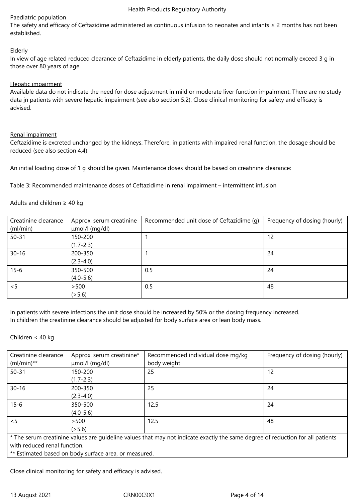# Paediatric population

The safety and efficacy of Ceftazidime administered as continuous infusion to neonates and infants ≤ 2 months has not been established.

# Elderly

In view of age related reduced clearance of Ceftazidime in elderly patients, the daily dose should not normally exceed 3 g in those over 80 years of age.

## Hepatic impairment

Available data do not indicate the need for dose adjustment in mild or moderate liver function impairment. There are no study data in patients with severe hepatic impairment (see also section 5.2). Close clinical monitoring for safety and efficacy is advised.

## Renal impairment

Ceftazidime is excreted unchanged by the kidneys. Therefore, in patients with impaired renal function, the dosage should be reduced (see also section 4.4).

An initial loading dose of 1 g should be given. Maintenance doses should be based on creatinine clearance:

Table 3: Recommended maintenance doses of Ceftazidime in renal impairment – intermittent infusion

Adults and children  $\geq 40$  kg

| Creatinine clearance<br>(ml/min) | Approx. serum creatinine<br>µmol/l (mg/dl) | Recommended unit dose of Ceftazidime (q) | Frequency of dosing (hourly) |
|----------------------------------|--------------------------------------------|------------------------------------------|------------------------------|
| $50 - 31$                        | 150-200<br>$(1.7 - 2.3)$                   |                                          | 12                           |
| $30 - 16$                        | 200-350<br>$(2.3 - 4.0)$                   |                                          | 24                           |
| $15 - 6$                         | 350-500<br>$(4.0 - 5.6)$                   | 0.5                                      | 24                           |
| < 5                              | >500<br>(5.6)                              | 0.5                                      | 48                           |

In patients with severe infections the unit dose should be increased by 50% or the dosing frequency increased. In children the creatinine clearance should be adjusted for body surface area or lean body mass.

Children < 40 kg

| Creatinine clearance<br>$(mI/min)**$ | Approx. serum creatinine*<br>µmol/l (mg/dl)           | Recommended individual dose mg/kg<br>body weight                                                                               | Frequency of dosing (hourly) |
|--------------------------------------|-------------------------------------------------------|--------------------------------------------------------------------------------------------------------------------------------|------------------------------|
| $50 - 31$                            | 150-200<br>$(1.7 - 2.3)$                              | 25                                                                                                                             | 12                           |
| $30 - 16$                            | 200-350<br>$(2.3 - 4.0)$                              | 25                                                                                                                             | 24                           |
| $15 - 6$                             | 350-500<br>$(4.0 - 5.6)$                              | 12.5                                                                                                                           | 24                           |
| < 5                                  | > 500<br>(5.6)                                        | 12.5                                                                                                                           | 48                           |
|                                      |                                                       | * The serum creatinine values are quideline values that may not indicate exactly the same degree of reduction for all patients |                              |
| with reduced renal function.         |                                                       |                                                                                                                                |                              |
|                                      | ** Estimated based on body surface area, or measured. |                                                                                                                                |                              |

Close clinical monitoring for safety and efficacy is advised.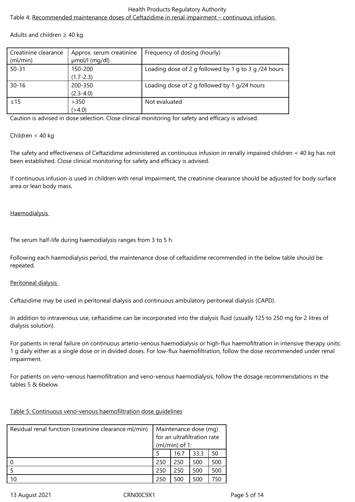# Health Products Regulatory Authority Table 4: Recommended maintenance doses of Ceftazidime in renal impairment – continuous infusion

Adults and children  $\geq$  40 kg

| Creatinine clearance | Approx. serum creatinine | Frequency of dosing (hourly)                         |
|----------------------|--------------------------|------------------------------------------------------|
| (ml/min)             | µmol/l (mg/dl)           |                                                      |
| $50 - 31$            | 150-200                  | Loading dose of 2 g followed by 1 g to 3 g /24 hours |
|                      | $(1.7 - 2.3)$            |                                                      |
| $30 - 16$            | 200-350                  | Loading dose of 2 g followed by 1 g/24 hours         |
|                      | $(2.3 - 4.0)$            |                                                      |
| $\leq$ 15            | >350                     | Not evaluated                                        |
|                      | ( > 4.0)                 |                                                      |

Caution is advised in dose selection. Close clinical monitoring for safety and efficacy is advised.

# Children < 40 kg

The safety and effectiveness of Ceftazidime administered as continuous infusion in renally impaired children < 40 kg has not been established. Close clinical monitoring for safety and efficacy is advised.

If continuous infusion is used in children with renal impairment, the creatinine clearance should be adjusted for body surface area or lean body mass.

Haemodialysis

The serum half-life during haemodialysis ranges from 3 to 5 h.

Following each haemodialysis period, the maintenance dose of ceftazidime recommended in the below table should be repeated.

#### Peritoneal dialysis

Ceftazidime may be used in peritoneal dialysis and continuous ambulatory peritoneal dialysis (CAPD).

In addition to intravenous use, ceftazidime can be incorporated into the dialysis fluid (usually 125 to 250 mg for 2 litres of dialysis solution).

For patients in renal failure on continuous arterio-venous haemodialysis or high-flux haemofiltration in intensive therapy units: 1 g daily either as a single dose or in divided doses. For low-flux haemofiltration, follow the dose recommended under renal impairment.

For patients on veno-venous haemofiltration and veno-venous haemodialysis, follow the dosage recommendations in the tables 5 & 6below.

# Table 5: Continuous veno-venous haemofiltration dose guidelines

| Residual renal function (creatinine clearance ml/min) |     | Maintenance dose (mg)<br>for an ultrafiltration rate |      |     |
|-------------------------------------------------------|-----|------------------------------------------------------|------|-----|
|                                                       |     | $(mI/min)$ of 1:                                     |      |     |
|                                                       |     | 16.7                                                 | 33.3 | 50  |
|                                                       | 250 | 250                                                  | 500  | 500 |
|                                                       | 250 | 250                                                  | 500  | 500 |
| 10                                                    | 250 | 500                                                  | 500  | 750 |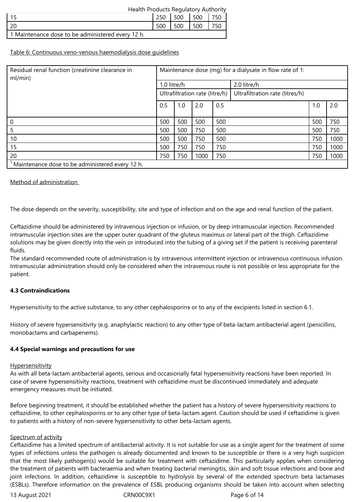| Health Products Regulatory Authority              |     |     |     |     |
|---------------------------------------------------|-----|-----|-----|-----|
|                                                   | 250 | 500 | 500 | 750 |
|                                                   | 500 | 500 | 500 | 750 |
| 1 Maintenance dose to be administered every 12 h. |     |     |     |     |

Table 6: Continuous veno-venous haemodialysis dose guidelines

| Residual renal function (creatinine clearance in<br>ml/min) |                            | Maintenance dose (mg) for a dialysate in flow rate of 1: |      |     |                                 |     |      |  |  |
|-------------------------------------------------------------|----------------------------|----------------------------------------------------------|------|-----|---------------------------------|-----|------|--|--|
|                                                             | 1.0 litre/h<br>2.0 litre/h |                                                          |      |     |                                 |     |      |  |  |
|                                                             |                            | Ultrafiltration rate (litre/h)                           |      |     | Ultrafiltration rate (litres/h) |     |      |  |  |
|                                                             | 0.5                        | 1.0                                                      | 2.0  | 0.5 |                                 | 1.0 | 2.0  |  |  |
|                                                             |                            |                                                          |      |     |                                 |     |      |  |  |
| $\mathbf 0$                                                 | 500                        | 500                                                      | 500  | 500 |                                 | 500 | 750  |  |  |
| -5                                                          | 500                        | 500                                                      | 750  | 500 |                                 | 500 | 750  |  |  |
| 10                                                          | 500                        | 500                                                      | 750  | 500 |                                 | 750 | 1000 |  |  |
| 15                                                          | 500                        | 750                                                      | 750  | 750 |                                 | 750 | 1000 |  |  |
| 20                                                          | 750                        | 750                                                      | 1000 | 750 |                                 | 750 | 1000 |  |  |
| Maintenance dose to be administered every 12 h.             |                            |                                                          |      |     |                                 |     |      |  |  |

Method of administration

The dose depends on the severity, susceptibility, site and type of infection and on the age and renal function of the patient.

Ceftazidime should be administered by intravenous injection or infusion, or by deep intramuscular injection. Recommended intramuscular injection sites are the upper outer quadrant of the gluteus maximus or lateral part of the thigh. Ceftazidime solutions may be given directly into the vein or introduced into the tubing of a giving set if the patient is receiving parenteral fluids.

The standard recommended route of administration is by intravenous intermittent injection or intravenous continuous infusion. Intramuscular administration should only be considered when the intravenous route is not possible or less appropriate for the patient.

# **4.3 Contraindications**

Hypersensitivity to the active substance, to any other cephalosporins or to any of the excipients listed in section 6.1.

History of severe hypersensitivity (e.g. anaphylactic reaction) to any other type of beta-lactam antibacterial agent (penicillins, monobactams and carbapenems).

#### **4.4 Special warnings and precautions for use**

#### **Hypersensitivity**

As with all beta-lactam antibacterial agents, serious and occasionally fatal hypersensitivity reactions have been reported. In case of severe hypersensitivity reactions, treatment with ceftazidime must be discontinued immediately and adequate emergency measures must be initiated.

Before beginning treatment, it should be established whether the patient has a history of severe hypersensitivity reactions to ceftazidime, to other cephalosporins or to any other type of beta-lactam agent. Caution should be used if ceftazidime is given to patients with a history of non-severe hypersensitivity to other beta-lactam agents.

#### Spectrum of activity

Ceftazidime has a limited spectrum of antibacterial activity. It is not suitable for use as a single agent for the treatment of some types of infections unless the pathogen is already documented and known to be susceptible or there is a very high suspicion that the most likely pathogen(s) would be suitable for treatment with ceftazidime. This particularly applies when considering the treatment of patients with bacteraemia and when treating bacterial meningitis, skin and soft tissue infections and bone and joint infections. In addition, ceftazidime is susceptible to hydrolysis by several of the extended spectrum beta lactamases (ESBLs). Therefore information on the prevalence of ESBL producing organisms should be taken into account when selecting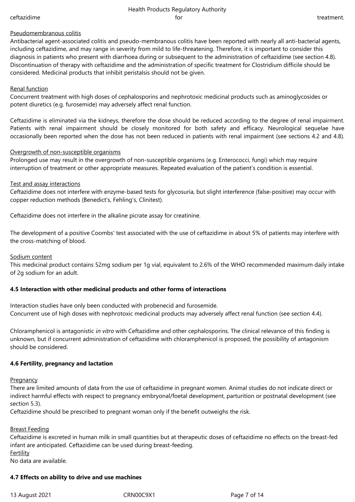#### Health Products Regulatory Authority ceftazidime **for the set of the contract of the contract of the contract of the contract of treatment**.

#### Pseudomembranous colitis

Antibacterial agent-associated colitis and pseudo-membranous colitis have been reported with nearly all anti-bacterial agents, including ceftazidime, and may range in severity from mild to life-threatening. Therefore, it is important to consider this diagnosis in patients who present with diarrhoea during or subsequent to the administration of ceftazidime (see section 4.8). Discontinuation of therapy with ceftazidime and the administration of specific treatment for Clostridium difficile should be considered. Medicinal products that inhibit peristalsis should not be given.

## Renal function

Concurrent treatment with high doses of cephalosporins and nephrotoxic medicinal products such as aminoglycosides or potent diuretics (e.g. furosemide) may adversely affect renal function.

Ceftazidime is eliminated via the kidneys, therefore the dose should be reduced according to the degree of renal impairment. Patients with renal impairment should be closely monitored for both safety and efficacy. Neurological sequelae have occasionally been reported when the dose has not been reduced in patients with renal impairment (see sections 4.2 and 4.8).

#### Overgrowth of non-susceptible organisms

Prolonged use may result in the overgrowth of non-susceptible organisms (e.g. Enterococci, fungi) which may require interruption of treatment or other appropriate measures. Repeated evaluation of the patient's condition is essential.

#### Test and assay interactions

Ceftazidime does not interfere with enzyme-based tests for glycosuria, but slight interference (false-positive) may occur with copper reduction methods (Benedict's, Fehling's, Clinitest).

Ceftazidime does not interfere in the alkaline picrate assay for creatinine.

The development of a positive Coombs' test associated with the use of ceftazidime in about 5% of patients may interfere with the cross-matching of blood.

#### Sodium content

This medicinal product contains 52mg sodium per 1g vial, equivalent to 2.6% of the WHO recommended maximum daily intake of 2g sodium for an adult.

#### **4.5 Interaction with other medicinal products and other forms of interactions**

Interaction studies have only been conducted with probenecid and furosemide. Concurrent use of high doses with nephrotoxic medicinal products may adversely affect renal function (see section 4.4).

Chloramphenicol is antagonistic *in vitro* with Ceftazidime and other cephalosporins. The clinical relevance of this finding is unknown, but if concurrent administration of ceftazidime with chloramphenicol is proposed, the possibility of antagonism should be considered.

#### **4.6 Fertility, pregnancy and lactation**

**Pregnancy** 

There are limited amounts of data from the use of ceftazidime in pregnant women. Animal studies do not indicate direct or indirect harmful effects with respect to pregnancy embryonal/foetal development, parturition or postnatal development (see section 5.3).

Ceftazidime should be prescribed to pregnant woman only if the benefit outweighs the risk.

#### Breast Feeding

Ceftazidime is excreted in human milk in small quantities but at therapeutic doses of ceftazidime no effects on the breast-fed infant are anticipated. Ceftazidime can be used during breast-feeding. **Fertility** 

No data are available.

#### **4.7 Effects on ability to drive and use machines**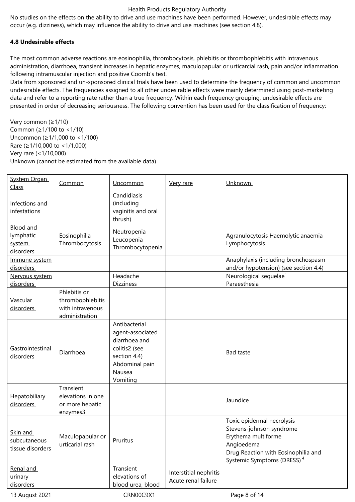No studies on the effects on the ability to drive and use machines have been performed. However, undesirable effects may occur (e.g. dizziness), which may influence the ability to drive and use machines (see section 4.8).

# **4.8 Undesirable effects**

The most common adverse reactions are eosinophilia, thrombocytosis, phlebitis or thrombophlebitis with intravenous administration, diarrhoea, transient increases in hepatic enzymes, maculopapular or urticarcial rash, pain and/or inflammation following intramuscular injection and positive Coomb's test.

Data from sponsored and un-sponsored clinical trials have been used to determine the frequency of common and uncommon undesirable effects. The frequencies assigned to all other undesirable effects were mainly determined using post-marketing data and refer to a reporting rate rather than a true frequency. Within each frequency grouping, undesirable effects are presented in order of decreasing seriousness. The following convention has been used for the classification of frequency:

Very common (≥1/10) Common (≥1/100 to <1/10) Uncommon (≥1/1,000 to <1/100) Rare (≥1/10,000 to <1/1,000) Very rare (<1/10,000) Unknown (cannot be estimated from the available data)

| System Organ<br>Class                         | Common                                                                 | Uncommon                                                                                                                    | Very rare                                     | Unknown                                                                                                                                                                      |
|-----------------------------------------------|------------------------------------------------------------------------|-----------------------------------------------------------------------------------------------------------------------------|-----------------------------------------------|------------------------------------------------------------------------------------------------------------------------------------------------------------------------------|
| Infections and<br><i>infestations</i>         |                                                                        | Candidiasis<br>(including<br>vaginitis and oral<br>thrush)                                                                  |                                               |                                                                                                                                                                              |
| Blood and<br>lymphatic<br>system<br>disorders | Eosinophilia<br>Thrombocytosis                                         | Neutropenia<br>Leucopenia<br>Thrombocytopenia                                                                               |                                               | Agranulocytosis Haemolytic anaemia<br>Lymphocytosis                                                                                                                          |
| Immune system<br>disorders                    |                                                                        |                                                                                                                             |                                               | Anaphylaxis (including bronchospasm<br>and/or hypotension) (see section 4.4)                                                                                                 |
| Nervous system<br>disorders                   |                                                                        | Headache<br><b>Dizziness</b>                                                                                                |                                               | Neurological sequelae <sup>1</sup><br>Paraesthesia                                                                                                                           |
| <b>Vascular</b><br>disorders                  | Phlebitis or<br>thrombophlebitis<br>with intravenous<br>administration |                                                                                                                             |                                               |                                                                                                                                                                              |
| Gastrointestinal<br>disorders                 | Diarrhoea                                                              | Antibacterial<br>agent-associated<br>diarrhoea and<br>colitis2 (see<br>section 4.4)<br>Abdominal pain<br>Nausea<br>Vomiting |                                               | <b>Bad taste</b>                                                                                                                                                             |
| <b>Hepatobiliary</b><br>disorders             | Transient<br>elevations in one<br>or more hepatic<br>enzymes3          |                                                                                                                             |                                               | Jaundice                                                                                                                                                                     |
| Skin and<br>subcutaneous<br>tissue disorders  | Maculopapular or<br>urticarial rash                                    | Pruritus                                                                                                                    |                                               | Toxic epidermal necrolysis<br>Stevens-johnson syndrome<br>Erythema multiforme<br>Angioedema<br>Drug Reaction with Eosinophilia and<br>Systemic Symptoms (DRESS) <sup>4</sup> |
| Renal and<br>urinary<br>disorders             |                                                                        | Transient<br>elevations of<br>blood urea, blood                                                                             | Interstitial nephritis<br>Acute renal failure |                                                                                                                                                                              |

13 August 2021 CRN00C9X1 Page 8 of 14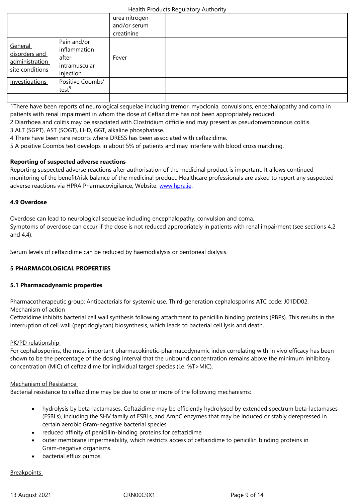|                                                               |                                                                    | creatinine |  |
|---------------------------------------------------------------|--------------------------------------------------------------------|------------|--|
| General<br>disorders and<br>administration<br>site conditions | Pain and/or<br>inflammation<br>after<br>intramuscular<br>injection | Fever      |  |
| Investigations                                                | Positive Coombs'<br>test <sup>5</sup>                              |            |  |
|                                                               |                                                                    |            |  |

1There have been reports of neurological sequelae including tremor, myoclonia, convulsions, encephalopathy and coma in patients with renal impairment in whom the dose of Ceftazidime has not been appropriately reduced.

- 2 Diarrhoea and colitis may be associated with Clostridium difficile and may present as pseudomembranous colitis.
- 3 ALT (SGPT), AST (SOGT), LHD, GGT, alkaline phosphatase.
- 4 There have been rare reports where DRESS has been associated with ceftazidime.
- 5 A positive Coombs test develops in about 5% of patients and may interfere with blood cross matching.

# **Reporting of suspected adverse reactions**

Reporting suspected adverse reactions after authorisation of the medicinal product is important. It allows continued monitoring of the benefit/risk balance of the medicinal product. Healthcare professionals are asked to report any suspected adverse reactions via HPRA Pharmacovigilance, Website: www.hpra.ie.

# **4.9 Overdose**

Overdose can lead to neurological sequelae including en[cephalopath](http://www.hpra.ie/)y, convulsion and coma. Symptoms of overdose can occur if the dose is not reduced appropriately in patients with renal impairment (see sections 4.2 and 4.4).

Serum levels of ceftazidime can be reduced by haemodialysis or peritoneal dialysis.

# **5 PHARMACOLOGICAL PROPERTIES**

#### **5.1 Pharmacodynamic properties**

Pharmacotherapeutic group: Antibacterials for systemic use. Third-generation cephalosporins ATC code: J01DD02. Mechanism of action

Ceftazidime inhibits bacterial cell wall synthesis following attachment to penicillin binding proteins (PBPs). This results in the interruption of cell wall (peptidoglycan) biosynthesis, which leads to bacterial cell lysis and death.

#### PK/PD relationship

For cephalosporins, the most important pharmacokinetic-pharmacodynamic index correlating with in vivo efficacy has been shown to be the percentage of the dosing interval that the unbound concentration remains above the minimum inhibitory concentration (MIC) of ceftazidime for individual target species (i.e. %T>MIC).

#### Mechanism of Resistance

Bacterial resistance to ceftazidime may be due to one or more of the following mechanisms:

- hydrolysis by beta-lactamases. Ceftazidime may be efficiently hydrolysed by extended spectrum beta-lactamases (ESBLs), including the SHV family of ESBLs, and AmpC enzymes that may be induced or stably derepressed in certain aerobic Gram-negative bacterial species
- reduced affinity of penicillin-binding proteins for ceftazidime
- outer membrane impermeability, which restricts access of ceftazidime to penicillin binding proteins in Gram-negative organisms.
- bacterial efflux pumps.

#### **Breakpoints**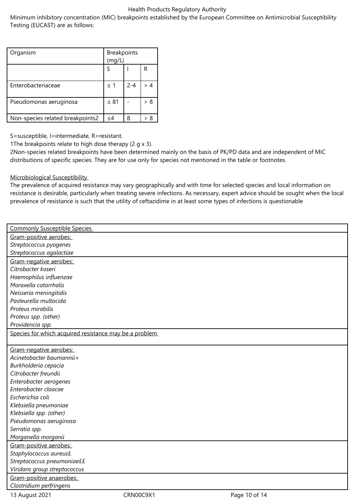Minimum inhibitory concentration (MIC) breakpoints established by the European Committee on Antimicrobial Susceptibility Testing (EUCAST) are as follows:

| Organism                         | Breakpoints<br>(mg/L) |         |     |
|----------------------------------|-----------------------|---------|-----|
|                                  |                       |         | R   |
| Enterobacteriaceae               | $\leq$ 1              | $2 - 4$ |     |
| Pseudomonas aeruginosa           | $\leq 81$             |         | > 8 |
| Non-species related breakpoints2 | $\leq$ 4              | 8       | > 8 |

S=susceptible, I=intermediate, R=resistant.

1The breakpoints relate to high dose therapy (2 g x 3).

2Non-species related breakpoints have been determined mainly on the basis of PK/PD data and are independent of MIC distributions of specific species. They are for use only for species not mentioned in the table or footnotes.

# Microbiological Susceptibility

The prevalence of acquired resistance may vary geographically and with time for selected species and local information on resistance is desirable, particularly when treating severe infections. As necessary, expert advice should be sought when the local prevalence of resistance is such that the utility of ceftazidime in at least some types of infections is questionable

| <b>Commonly Susceptible Species</b>                    |           |               |
|--------------------------------------------------------|-----------|---------------|
| Gram-positive aerobes:                                 |           |               |
| Streptococcus pyogenes                                 |           |               |
| Streptococcus agalactiae                               |           |               |
| Gram-negative aerobes:                                 |           |               |
| Citrobacter koseri                                     |           |               |
| Haemophilus influenzae                                 |           |               |
| Moraxella catarrhalis                                  |           |               |
| Neisseria meningitidis                                 |           |               |
| Pasteurella multocida                                  |           |               |
| Proteus mirabilis                                      |           |               |
| Proteus spp. (other)                                   |           |               |
| Providencia spp.                                       |           |               |
| Species for which acquired resistance may be a problem |           |               |
|                                                        |           |               |
| Gram-negative aerobes:                                 |           |               |
| Acinetobacter baumannii+                               |           |               |
| Burkholderia cepacia                                   |           |               |
| Citrobacter freundii                                   |           |               |
| Enterobacter aerogenes                                 |           |               |
| Enterobacter cloacae                                   |           |               |
| Escherichia coli                                       |           |               |
| Klebsiella pneumoniae                                  |           |               |
| Klebsiella spp. (other)                                |           |               |
| Pseudomonas aeruginosa                                 |           |               |
| Serratia spp.                                          |           |               |
| Morganella morganii                                    |           |               |
| Gram-positive aerobes:                                 |           |               |
| Staphylococcus aureus£                                 |           |               |
| Streptococcus pneumoniae££                             |           |               |
| Viridans group streptococcus                           |           |               |
| Gram-positive anaerobes:                               |           |               |
| Clostridium perfringens                                |           |               |
| 13 August 2021                                         | CRN00C9X1 | Page 10 of 14 |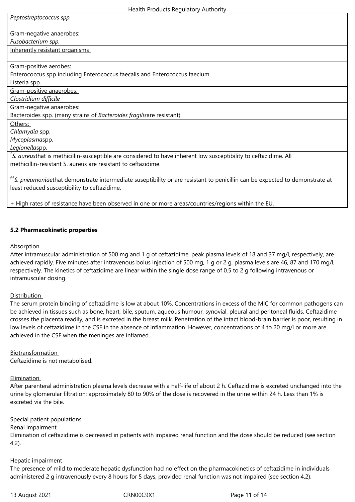| Health Products Regulatory Authority                                                                                         |  |  |  |
|------------------------------------------------------------------------------------------------------------------------------|--|--|--|
| Peptostreptococcus spp.                                                                                                      |  |  |  |
|                                                                                                                              |  |  |  |
| Gram-negative anaerobes:<br>Fusobacterium spp.                                                                               |  |  |  |
| Inherently resistant organisms                                                                                               |  |  |  |
|                                                                                                                              |  |  |  |
| Gram-positive aerobes:                                                                                                       |  |  |  |
| Enterococcus spp including Enterococcus faecalis and Enterococcus faecium                                                    |  |  |  |
| Listeria spp.                                                                                                                |  |  |  |
| Gram-positive anaerobes:                                                                                                     |  |  |  |
| Clostridium difficile                                                                                                        |  |  |  |
| Gram-negative anaerobes:                                                                                                     |  |  |  |
| Bacteroides spp. (many strains of Bacteroides fragilisare resistant).                                                        |  |  |  |
| Others:                                                                                                                      |  |  |  |
| Chlamydia spp.                                                                                                               |  |  |  |
| Mycoplasmaspp.                                                                                                               |  |  |  |
| Legionellaspp.                                                                                                               |  |  |  |
| <sup>£</sup> S. aureusthat is methicillin-susceptible are considered to have inherent low susceptibility to ceftazidime. All |  |  |  |
| methicillin-resistant S, aureus are resistant to ceftazidime.                                                                |  |  |  |
|                                                                                                                              |  |  |  |

££*S. pneumoniae*that demonstrate intermediate suseptibility or are resistant to penicillin can be expected to demonstrate at least reduced susceptibility to ceftazidime.

+ High rates of resistance have been observed in one or more areas/countries/regions within the EU.

# **5.2 Pharmacokinetic properties**

#### Absorption

After intramuscular administration of 500 mg and 1 g of ceftazidime, peak plasma levels of 18 and 37 mg/l, respectively, are achieved rapidly. Five minutes after intravenous bolus injection of 500 mg, 1 g or 2 g, plasma levels are 46, 87 and 170 mg/l, respectively. The kinetics of ceftazidime are linear within the single dose range of 0.5 to 2 g following intravenous or intramuscular dosing.

#### Distribution

The serum protein binding of ceftazidime is low at about 10%. Concentrations in excess of the MIC for common pathogens can be achieved in tissues such as bone, heart, bile, sputum, aqueous humour, synovial, pleural and peritoneal fluids. Ceftazidime crosses the placenta readily, and is excreted in the breast milk. Penetration of the intact blood-brain barrier is poor, resulting in low levels of ceftazidime in the CSF in the absence of inflammation. However, concentrations of 4 to 20 mg/l or more are achieved in the CSF when the meninges are inflamed.

# Biotransformation

Ceftazidime is not metabolised.

# Elimination

After parenteral administration plasma levels decrease with a half-life of about 2 h. Ceftazidime is excreted unchanged into the urine by glomerular filtration; approximately 80 to 90% of the dose is recovered in the urine within 24 h. Less than 1% is excreted via the bile.

#### Special patient populations

## Renal impairment

Elimination of ceftazidime is decreased in patients with impaired renal function and the dose should be reduced (see section 4.2).

#### Hepatic impairment

The presence of mild to moderate hepatic dysfunction had no effect on the pharmacokinetics of ceftazidime in individuals administered 2 g intravenously every 8 hours for 5 days, provided renal function was not impaired (see section 4.2).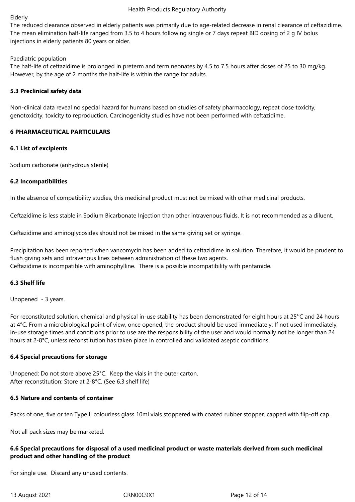#### Elderly

The reduced clearance observed in elderly patients was primarily due to age-related decrease in renal clearance of ceftazidime. The mean elimination half-life ranged from 3.5 to 4 hours following single or 7 days repeat BID dosing of 2 g IV bolus injections in elderly patients 80 years or older.

#### Paediatric population

The half-life of ceftazidime is prolonged in preterm and term neonates by 4.5 to 7.5 hours after doses of 25 to 30 mg/kg. However, by the age of 2 months the half-life is within the range for adults.

#### **5.3 Preclinical safety data**

Non-clinical data reveal no special hazard for humans based on studies of safety pharmacology, repeat dose toxicity, genotoxicity, toxicity to reproduction. Carcinogenicity studies have not been performed with ceftazidime.

## **6 PHARMACEUTICAL PARTICULARS**

## **6.1 List of excipients**

Sodium carbonate (anhydrous sterile)

## **6.2 Incompatibilities**

In the absence of compatibility studies, this medicinal product must not be mixed with other medicinal products.

Ceftazidime is less stable in Sodium Bicarbonate Injection than other intravenous fluids. It is not recommended as a diluent.

Ceftazidime and aminoglycosides should not be mixed in the same giving set or syringe.

Precipitation has been reported when vancomycin has been added to ceftazidime in solution. Therefore, it would be prudent to flush giving sets and intravenous lines between administration of these two agents. Ceftazidime is incompatible with aminophylline. There is a possible incompatibility with pentamide.

# **6.3 Shelf life**

Unopened - 3 years.

For reconstituted solution, chemical and physical in-use stability has been demonstrated for eight hours at  $25^{\circ}$ C and 24 hours at 4°C. From a microbiological point of view, once opened, the product should be used immediately. If not used immediately, in-use storage times and conditions prior to use are the responsibility of the user and would normally not be longer than 24 hours at 2-8°C, unless reconstitution has taken place in controlled and validated aseptic conditions.

#### **6.4 Special precautions for storage**

Unopened: Do not store above 25°C. Keep the vials in the outer carton. After reconstitution: Store at 2-8°C. (See 6.3 shelf life)

# **6.5 Nature and contents of container**

Packs of one, five or ten Type II colourless glass 10ml vials stoppered with coated rubber stopper, capped with flip-off cap.

Not all pack sizes may be marketed.

# **6.6 Special precautions for disposal of a used medicinal product or waste materials derived from such medicinal product and other handling of the product**

For single use. Discard any unused contents.

13 August 2021 CRN00C9X1 Page 12 of 14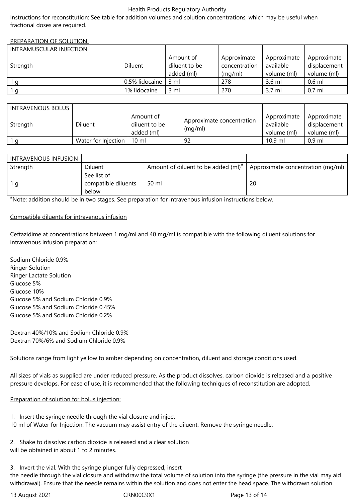Instructions for reconstitution: See table for addition volumes and solution concentrations, which may be useful when fractional doses are required.

#### PREPARATION OF SOLUTION

| INTRAMUSCULAR INJECTION |                |                                          |                                         |                                         |                                            |
|-------------------------|----------------|------------------------------------------|-----------------------------------------|-----------------------------------------|--------------------------------------------|
| Strength                | Diluent        | Amount of<br>diluent to be<br>added (ml) | Approximate<br>concentration<br>(mq/ml) | Approximate<br>available<br>volume (ml) | Approximate<br>displacement<br>volume (ml) |
|                         | 0.5% lidocaine | 3 ml                                     | 278                                     | $3.6$ ml                                | $0.6$ ml                                   |
|                         | 1% lidocaine   | $3 \text{ ml}$                           | 270                                     | 3.7 ml                                  | $0.7$ ml                                   |

| INTRAVENOUS BOLUS |                     |                                          |                                      |                                         |                                            |
|-------------------|---------------------|------------------------------------------|--------------------------------------|-----------------------------------------|--------------------------------------------|
| Strength          | Diluent             | Amount of<br>diluent to be<br>added (ml) | Approximate concentration<br>(mq/ml) | Approximate<br>available<br>volume (ml) | Approximate<br>displacement<br>volume (ml) |
|                   | Water for Injection | 10 ml                                    | 92                                   | $10.9$ ml                               | $0.9$ ml                                   |

| INTRAVENOUS INFUSION |                                             |                                          |                                   |
|----------------------|---------------------------------------------|------------------------------------------|-----------------------------------|
| Strength             | <b>Diluent</b>                              | Amount of diluent to be added $(mI)^*$ . | Approximate concentration (mg/ml) |
| 1 a                  | See list of<br>compatible diluents<br>below | 50 ml                                    | 20                                |

#Note: addition should be in two stages. See preparation for intravenous infusion instructions below.

## Compatible diluents for intravenous infusion

Ceftazidime at concentrations between 1 mg/ml and 40 mg/ml is compatible with the following diluent solutions for intravenous infusion preparation:

Sodium Chloride 0.9% Ringer Solution Ringer Lactate Solution Glucose 5% Glucose 10% Glucose 5% and Sodium Chloride 0.9% Glucose 5% and Sodium Chloride 0.45% Glucose 5% and Sodium Chloride 0.2%

Dextran 40%/10% and Sodium Chloride 0.9% Dextran 70%/6% and Sodium Chloride 0.9%

Solutions range from light yellow to amber depending on concentration, diluent and storage conditions used.

All sizes of vials as supplied are under reduced pressure. As the product dissolves, carbon dioxide is released and a positive pressure develops. For ease of use, it is recommended that the following techniques of reconstitution are adopted.

# Preparation of solution for bolus injection:

1. Insert the syringe needle through the vial closure and inject 10 ml of Water for Injection. The vacuum may assist entry of the diluent. Remove the syringe needle.

2. Shake to dissolve: carbon dioxide is released and a clear solution will be obtained in about 1 to 2 minutes.

3. Invert the vial. With the syringe plunger fully depressed, insert the needle through the vial closure and withdraw the total volume of solution into the syringe (the pressure in the vial may aid withdrawal). Ensure that the needle remains within the solution and does not enter the head space. The withdrawn solution